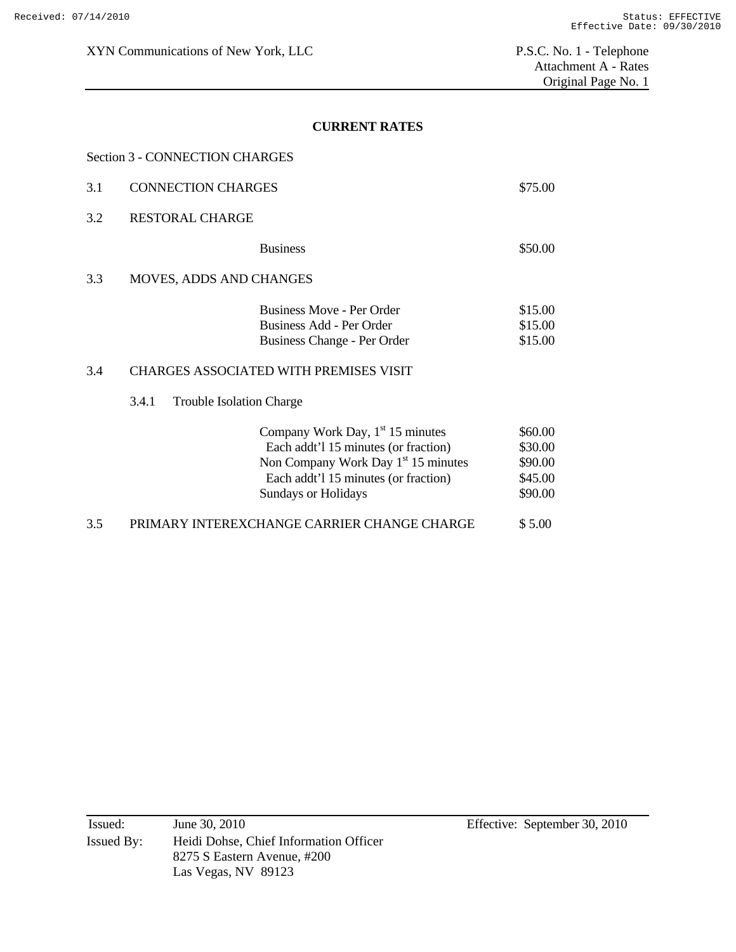## **CURRENT RATES**

| 3.1 | <b>CONNECTION CHARGES</b>                |                                                                                                                                                                                                     | \$75.00                                             |
|-----|------------------------------------------|-----------------------------------------------------------------------------------------------------------------------------------------------------------------------------------------------------|-----------------------------------------------------|
| 3.2 | <b>RESTORAL CHARGE</b>                   |                                                                                                                                                                                                     |                                                     |
|     |                                          | <b>Business</b>                                                                                                                                                                                     | \$50.00                                             |
| 3.3 | <b>MOVES, ADDS AND CHANGES</b>           |                                                                                                                                                                                                     |                                                     |
|     |                                          | Business Move - Per Order<br>Business Add - Per Order<br>Business Change - Per Order                                                                                                                | \$15.00<br>\$15.00<br>\$15.00                       |
| 3.4 |                                          | <b>CHARGES ASSOCIATED WITH PREMISES VISIT</b>                                                                                                                                                       |                                                     |
|     | 3.4.1<br><b>Trouble Isolation Charge</b> |                                                                                                                                                                                                     |                                                     |
|     |                                          | Company Work Day, $1st 15$ minutes<br>Each addt'l 15 minutes (or fraction)<br>Non Company Work Day 1 <sup>st</sup> 15 minutes<br>Each addt'l 15 minutes (or fraction)<br><b>Sundays or Holidays</b> | \$60.00<br>\$30.00<br>\$90.00<br>\$45.00<br>\$90.00 |

3.5 PRIMARY INTEREXCHANGE CARRIER CHANGE CHARGE \$ 5.00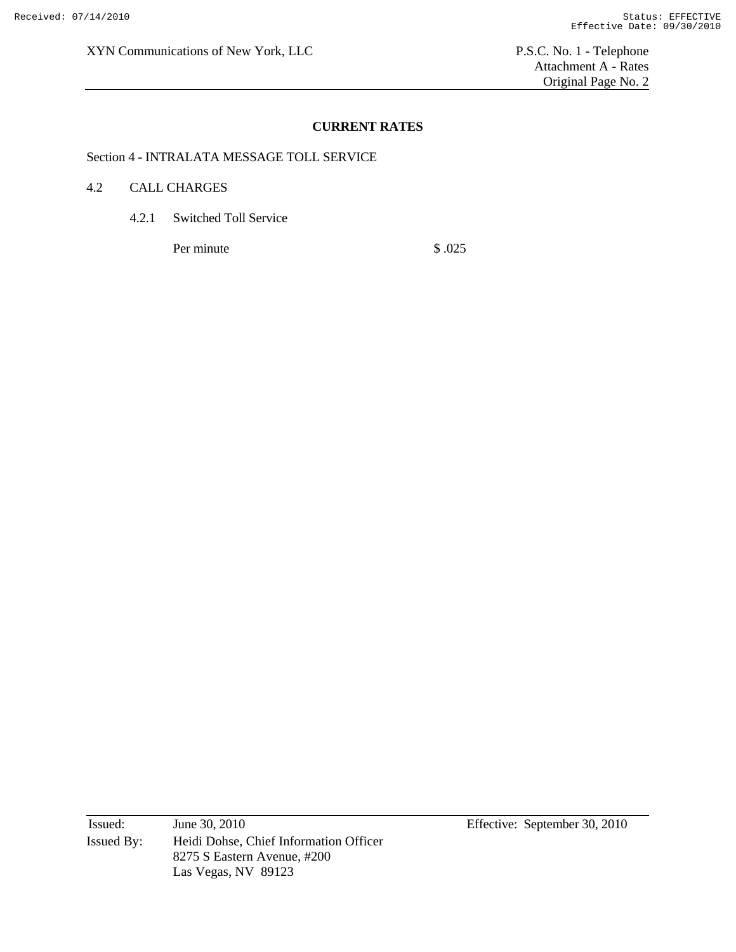XYN Communications of New York, LLC P.S.C. No. 1 - Telephone

 Attachment A - Rates Original Page No. 2

### **CURRENT RATES**

Section 4 - INTRALATA MESSAGE TOLL SERVICE

#### 4.2 CALL CHARGES

4.2.1 Switched Toll Service

Per minute \$ .025

Issued: June 30, 2010 Effective: September 30, 2010 Issued By: Heidi Dohse, Chief Information Officer 8275 S Eastern Avenue, #200 Las Vegas, NV 89123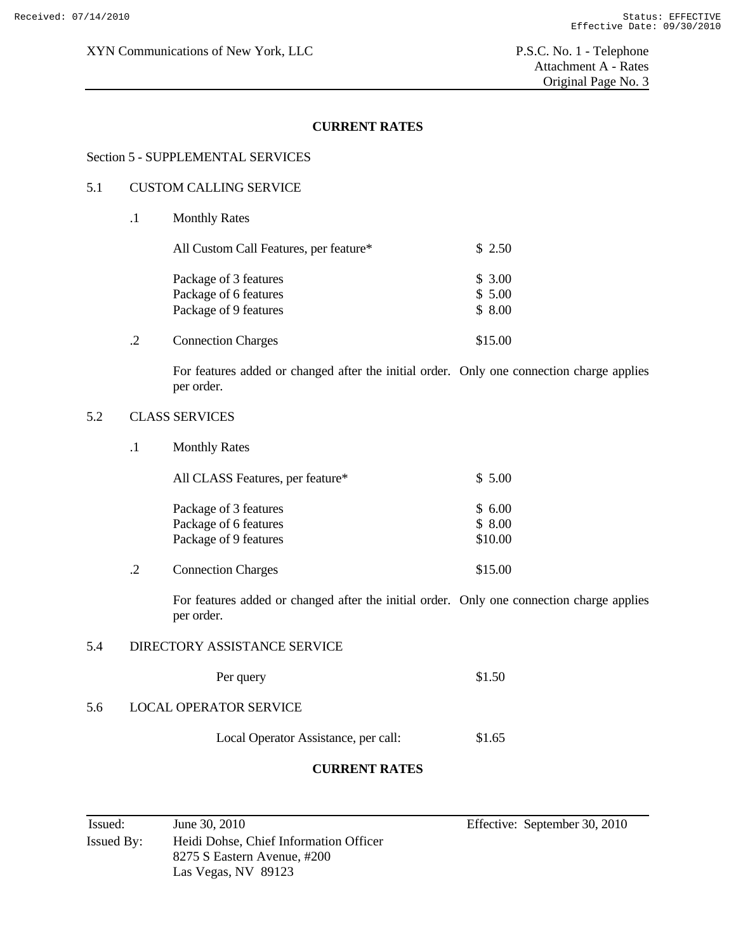### **CURRENT RATES**

#### Section 5 - SUPPLEMENTAL SERVICES

#### 5.1 CUSTOM CALLING SERVICE

|  | <b>Monthly Rates</b>                                                    |                            |
|--|-------------------------------------------------------------------------|----------------------------|
|  | All Custom Call Features, per feature*                                  | \$2.50                     |
|  | Package of 3 features<br>Package of 6 features<br>Package of 9 features | \$3.00<br>\$5.00<br>\$8.00 |
|  | <b>Connection Charges</b>                                               | \$15.00                    |

For features added or changed after the initial order. Only one connection charge applies per order.

### 5.2 CLASS SERVICES

.1 Monthly Rates

| All CLASS Features, per feature* | \$5.00  |
|----------------------------------|---------|
| Package of 3 features            | \$6.00  |
| Package of 6 features            | \$8.00  |
| Package of 9 features            | \$10.00 |
| <b>Connection Charges</b>        | \$15.00 |

For features added or changed after the initial order. Only one connection charge applies per order.

#### 5.4 DIRECTORY ASSISTANCE SERVICE

Per query \$1.50

### 5.6 LOCAL OPERATOR SERVICE

Local Operator Assistance, per call: \$1.65

### **CURRENT RATES**

| Issued:    | June 30, 2010                          |
|------------|----------------------------------------|
| Issued By: | Heidi Dohse, Chief Information Officer |
|            | 8275 S Eastern Avenue, #200            |
|            | Las Vegas, NV 89123                    |

Effective: September 30, 2010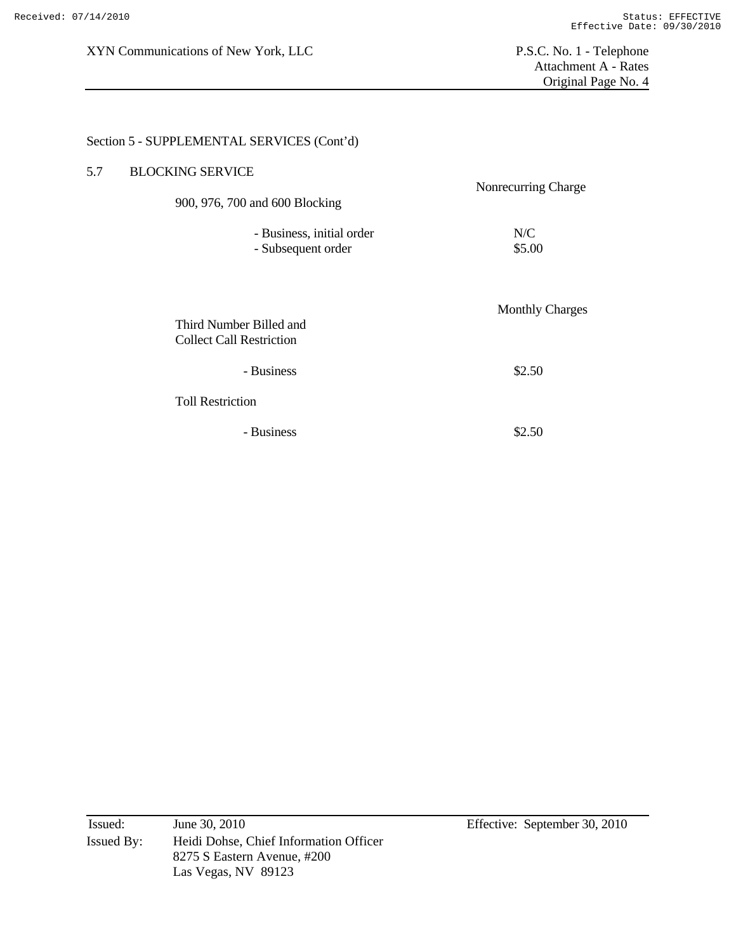# Section 5 - SUPPLEMENTAL SERVICES (Cont'd)

| 5.7 | <b>BLOCKING SERVICE</b>                                    |                        |
|-----|------------------------------------------------------------|------------------------|
|     | 900, 976, 700 and 600 Blocking                             | Nonrecurring Charge    |
|     | - Business, initial order<br>- Subsequent order            | N/C<br>\$5.00          |
|     | Third Number Billed and<br><b>Collect Call Restriction</b> | <b>Monthly Charges</b> |
|     | - Business                                                 | \$2.50                 |
|     | <b>Toll Restriction</b>                                    |                        |
|     | - Business                                                 | \$2.50                 |

| Issued:    | June 30, 2010                          |
|------------|----------------------------------------|
| Issued By: | Heidi Dohse, Chief Information Officer |
|            | 8275 S Eastern Avenue, #200            |
|            | Las Vegas, NV 89123                    |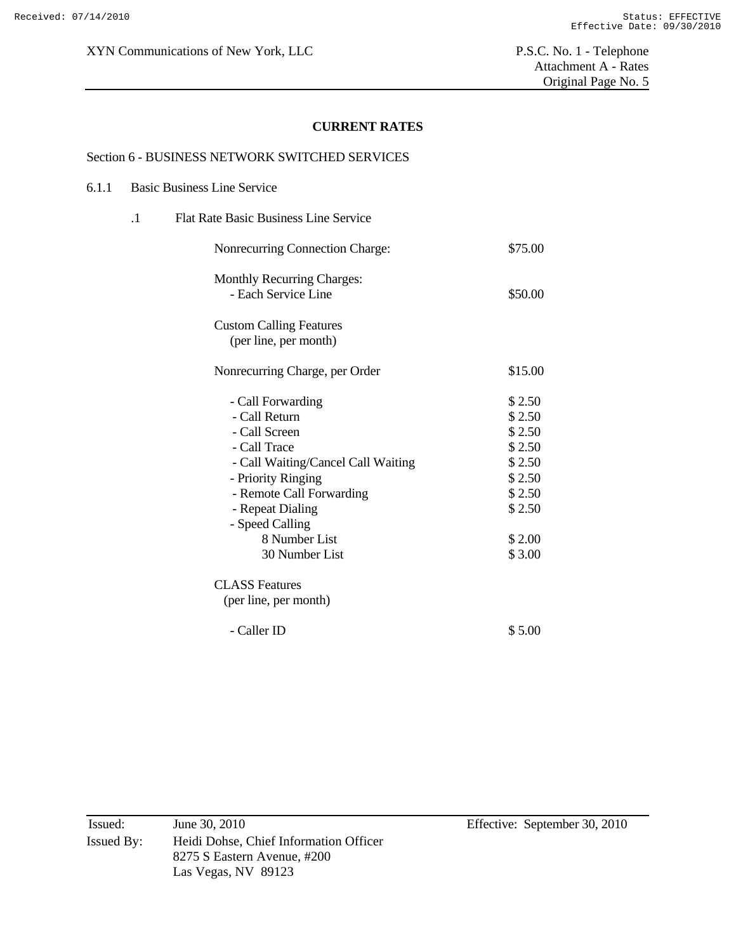Attachment A - Rates Original Page No. 5

#### **CURRENT RATES**

#### Section 6 - BUSINESS NETWORK SWITCHED SERVICES

| 6.1.1 | <b>Basic Business Line Service</b>                                                                                                                                                                                                    |                                                                                                  |
|-------|---------------------------------------------------------------------------------------------------------------------------------------------------------------------------------------------------------------------------------------|--------------------------------------------------------------------------------------------------|
|       | <b>Flat Rate Basic Business Line Service</b><br>$\cdot$ 1                                                                                                                                                                             |                                                                                                  |
|       | Nonrecurring Connection Charge:                                                                                                                                                                                                       | \$75.00                                                                                          |
|       | <b>Monthly Recurring Charges:</b><br>- Each Service Line                                                                                                                                                                              | \$50.00                                                                                          |
|       | <b>Custom Calling Features</b><br>(per line, per month)                                                                                                                                                                               |                                                                                                  |
|       | Nonrecurring Charge, per Order                                                                                                                                                                                                        | \$15.00                                                                                          |
|       | - Call Forwarding<br>- Call Return<br>- Call Screen<br>- Call Trace<br>- Call Waiting/Cancel Call Waiting<br>- Priority Ringing<br>- Remote Call Forwarding<br>- Repeat Dialing<br>- Speed Calling<br>8 Number List<br>30 Number List | \$2.50<br>\$2.50<br>\$2.50<br>\$2.50<br>\$2.50<br>\$2.50<br>\$2.50<br>\$2.50<br>\$2.00<br>\$3.00 |
|       | <b>CLASS Features</b><br>(per line, per month)                                                                                                                                                                                        |                                                                                                  |
|       | - Caller ID                                                                                                                                                                                                                           | \$5.00                                                                                           |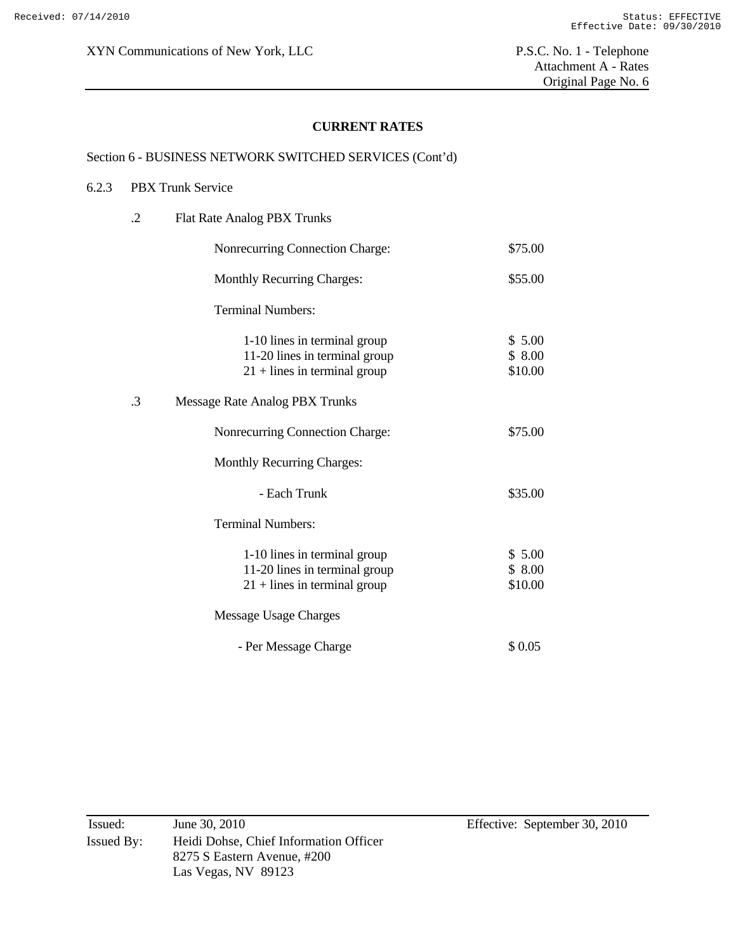Attachment A - Rates Original Page No. 6

### **CURRENT RATES**

## Section 6 - BUSINESS NETWORK SWITCHED SERVICES (Cont'd)

#### 6.2.3 PBX Trunk Service

| $\cdot$ .2<br>Flat Rate Analog PBX Trunks |                                                                                                 |                             |
|-------------------------------------------|-------------------------------------------------------------------------------------------------|-----------------------------|
|                                           | Nonrecurring Connection Charge:                                                                 | \$75.00                     |
|                                           | <b>Monthly Recurring Charges:</b>                                                               | \$55.00                     |
|                                           | <b>Terminal Numbers:</b>                                                                        |                             |
|                                           | 1-10 lines in terminal group<br>11-20 lines in terminal group<br>$21 +$ lines in terminal group | \$5.00<br>\$8.00<br>\$10.00 |
| .3                                        | Message Rate Analog PBX Trunks                                                                  |                             |
|                                           | Nonrecurring Connection Charge:                                                                 | \$75.00                     |
|                                           | <b>Monthly Recurring Charges:</b>                                                               |                             |
|                                           | - Each Trunk                                                                                    | \$35.00                     |
|                                           | <b>Terminal Numbers:</b>                                                                        |                             |
|                                           | 1-10 lines in terminal group<br>11-20 lines in terminal group<br>$21 +$ lines in terminal group | \$5.00<br>\$8.00<br>\$10.00 |
|                                           | Message Usage Charges                                                                           |                             |
|                                           | - Per Message Charge                                                                            | \$0.05                      |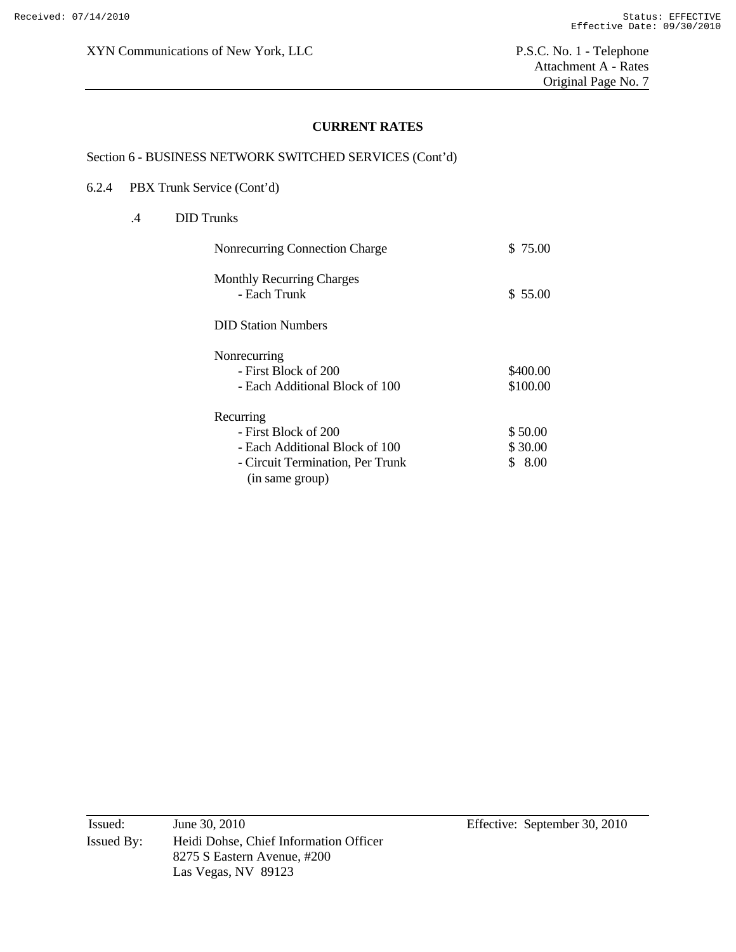Attachment A - Rates Original Page No. 7

### **CURRENT RATES**

## Section 6 - BUSINESS NETWORK SWITCHED SERVICES (Cont'd)

#### 6.2.4 PBX Trunk Service (Cont'd)

## .4 DID Trunks

| Nonrecurring Connection Charge                      | \$ 75.00 |
|-----------------------------------------------------|----------|
| <b>Monthly Recurring Charges</b><br>- Each Trunk    | \$55.00  |
| <b>DID Station Numbers</b>                          |          |
| Nonrecurring                                        |          |
| - First Block of 200                                | \$400.00 |
| - Each Additional Block of 100                      | \$100.00 |
| Recurring                                           |          |
| - First Block of 200                                | \$50.00  |
| - Each Additional Block of 100                      | \$30.00  |
| - Circuit Termination, Per Trunk<br>(in same group) | \$8.00   |